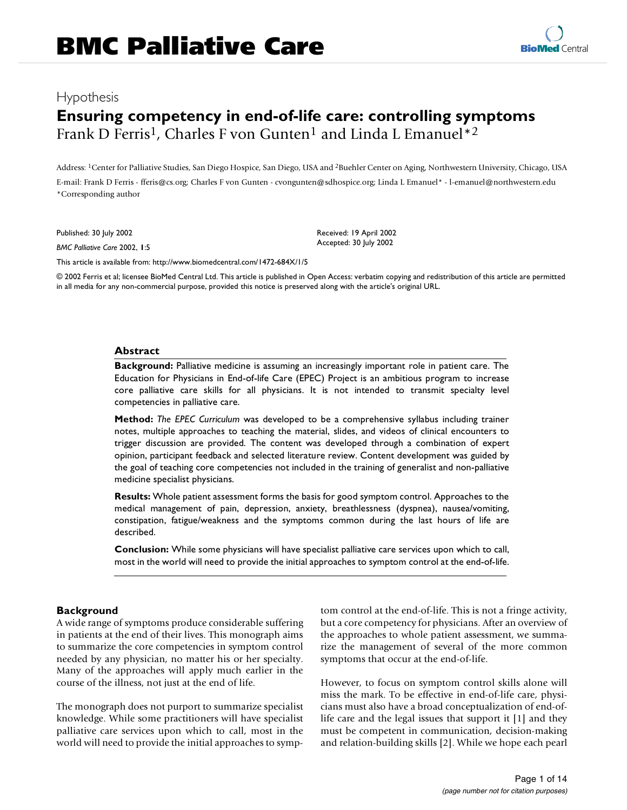# Hypothesis

# **Ensuring competency in end-of-life care: controlling symptoms** Frank D Ferris<sup>1</sup>, Charles F von Gunten<sup>1</sup> and Linda L Emanuel<sup>\*2</sup>

Address: 1Center for Palliative Studies, San Diego Hospice, San Diego, USA and 2Buehler Center on Aging, Northwestern University, Chicago, USA E-mail: Frank D Ferris - fferis@cs.org; Charles F von Gunten - cvongunten@sdhospice.org; Linda L Emanuel\* - l-emanuel@northwestern.edu \*Corresponding author

Published: 30 July 2002

*BMC Palliative Care* 2002, **1**:5

Received: 19 April 2002 Accepted: 30 July 2002

[This article is available from: http://www.biomedcentral.com/1472-684X/1/5](http://www.biomedcentral.com/1472-684X/1/5)

© 2002 Ferris et al; licensee BioMed Central Ltd. This article is published in Open Access: verbatim copying and redistribution of this article are permitted in all media for any non-commercial purpose, provided this notice is preserved along with the article's original URL.

#### **Abstract**

**Background:** Palliative medicine is assuming an increasingly important role in patient care. The Education for Physicians in End-of-life Care (EPEC) Project is an ambitious program to increase core palliative care skills for all physicians. It is not intended to transmit specialty level competencies in palliative care.

**Method:** *The EPEC Curriculum* was developed to be a comprehensive syllabus including trainer notes, multiple approaches to teaching the material, slides, and videos of clinical encounters to trigger discussion are provided. The content was developed through a combination of expert opinion, participant feedback and selected literature review. Content development was guided by the goal of teaching core competencies not included in the training of generalist and non-palliative medicine specialist physicians.

**Results:** Whole patient assessment forms the basis for good symptom control. Approaches to the medical management of pain, depression, anxiety, breathlessness (dyspnea), nausea/vomiting, constipation, fatigue/weakness and the symptoms common during the last hours of life are described.

**Conclusion:** While some physicians will have specialist palliative care services upon which to call, most in the world will need to provide the initial approaches to symptom control at the end-of-life.

## **Background**

A wide range of symptoms produce considerable suffering in patients at the end of their lives. This monograph aims to summarize the core competencies in symptom control needed by any physician, no matter his or her specialty. Many of the approaches will apply much earlier in the course of the illness, not just at the end of life.

The monograph does not purport to summarize specialist knowledge. While some practitioners will have specialist palliative care services upon which to call, most in the world will need to provide the initial approaches to symptom control at the end-of-life. This is not a fringe activity, but a core competency for physicians. After an overview of the approaches to whole patient assessment, we summarize the management of several of the more common symptoms that occur at the end-of-life.

However, to focus on symptom control skills alone will miss the mark. To be effective in end-of-life care, physicians must also have a broad conceptualization of end-oflife care and the legal issues that support it [1] and they must be competent in communication, decision-making and relation-building skills [2]. While we hope each pearl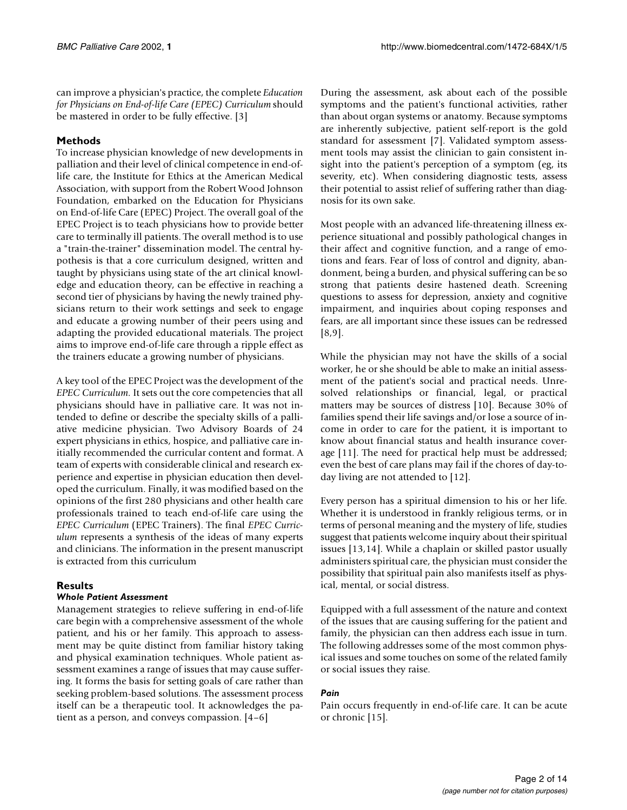can improve a physician's practice, the complete *Education for Physicians on End-of-life Care (EPEC) Curriculum* should be mastered in order to be fully effective. [3]

## **Methods**

To increase physician knowledge of new developments in palliation and their level of clinical competence in end-oflife care, the Institute for Ethics at the American Medical Association, with support from the Robert Wood Johnson Foundation, embarked on the Education for Physicians on End-of-life Care (EPEC) Project. The overall goal of the EPEC Project is to teach physicians how to provide better care to terminally ill patients. The overall method is to use a "train-the-trainer" dissemination model. The central hypothesis is that a core curriculum designed, written and taught by physicians using state of the art clinical knowledge and education theory, can be effective in reaching a second tier of physicians by having the newly trained physicians return to their work settings and seek to engage and educate a growing number of their peers using and adapting the provided educational materials. The project aims to improve end-of-life care through a ripple effect as the trainers educate a growing number of physicians.

A key tool of the EPEC Project was the development of the *EPEC Curriculum.* It sets out the core competencies that all physicians should have in palliative care. It was not intended to define or describe the specialty skills of a palliative medicine physician. Two Advisory Boards of 24 expert physicians in ethics, hospice, and palliative care initially recommended the curricular content and format. A team of experts with considerable clinical and research experience and expertise in physician education then developed the curriculum. Finally, it was modified based on the opinions of the first 280 physicians and other health care professionals trained to teach end-of-life care using the *EPEC Curriculum* (EPEC Trainers). The final *EPEC Curriculum* represents a synthesis of the ideas of many experts and clinicians. The information in the present manuscript is extracted from this curriculum

## **Results**

#### *Whole Patient Assessment*

Management strategies to relieve suffering in end-of-life care begin with a comprehensive assessment of the whole patient, and his or her family. This approach to assessment may be quite distinct from familiar history taking and physical examination techniques. Whole patient assessment examines a range of issues that may cause suffering. It forms the basis for setting goals of care rather than seeking problem-based solutions. The assessment process itself can be a therapeutic tool. It acknowledges the patient as a person, and conveys compassion. [4–6]

During the assessment, ask about each of the possible symptoms and the patient's functional activities, rather than about organ systems or anatomy. Because symptoms are inherently subjective, patient self-report is the gold standard for assessment [7]. Validated symptom assessment tools may assist the clinician to gain consistent insight into the patient's perception of a symptom (eg, its severity, etc). When considering diagnostic tests, assess their potential to assist relief of suffering rather than diagnosis for its own sake.

Most people with an advanced life-threatening illness experience situational and possibly pathological changes in their affect and cognitive function, and a range of emotions and fears. Fear of loss of control and dignity, abandonment, being a burden, and physical suffering can be so strong that patients desire hastened death. Screening questions to assess for depression, anxiety and cognitive impairment, and inquiries about coping responses and fears, are all important since these issues can be redressed [8,9].

While the physician may not have the skills of a social worker, he or she should be able to make an initial assessment of the patient's social and practical needs. Unresolved relationships or financial, legal, or practical matters may be sources of distress [10]. Because 30% of families spend their life savings and/or lose a source of income in order to care for the patient, it is important to know about financial status and health insurance coverage [11]. The need for practical help must be addressed; even the best of care plans may fail if the chores of day-today living are not attended to [12].

Every person has a spiritual dimension to his or her life. Whether it is understood in frankly religious terms, or in terms of personal meaning and the mystery of life, studies suggest that patients welcome inquiry about their spiritual issues [13,14]. While a chaplain or skilled pastor usually administers spiritual care, the physician must consider the possibility that spiritual pain also manifests itself as physical, mental, or social distress.

Equipped with a full assessment of the nature and context of the issues that are causing suffering for the patient and family, the physician can then address each issue in turn. The following addresses some of the most common physical issues and some touches on some of the related family or social issues they raise.

## *Pain*

Pain occurs frequently in end-of-life care. It can be acute or chronic [15].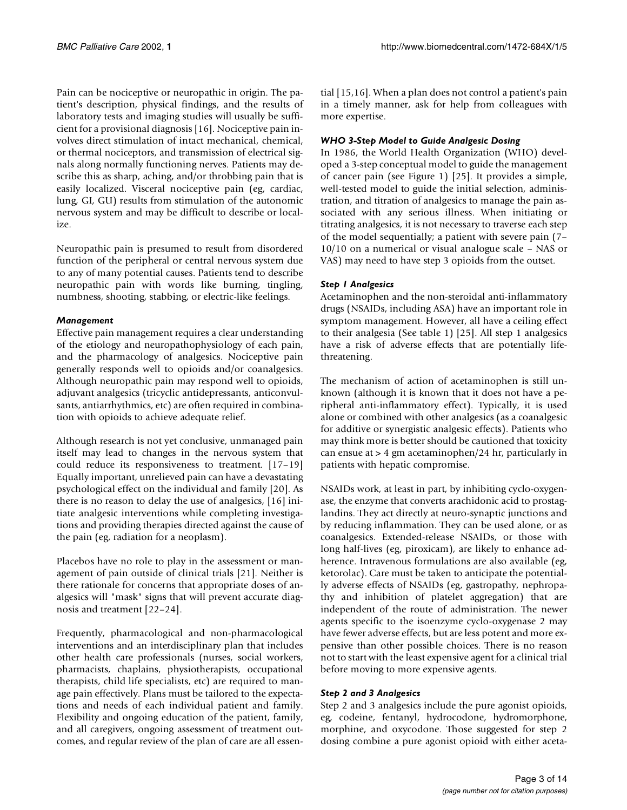Pain can be nociceptive or neuropathic in origin. The patient's description, physical findings, and the results of laboratory tests and imaging studies will usually be sufficient for a provisional diagnosis [16]. Nociceptive pain involves direct stimulation of intact mechanical, chemical, or thermal nociceptors, and transmission of electrical signals along normally functioning nerves. Patients may describe this as sharp, aching, and/or throbbing pain that is easily localized. Visceral nociceptive pain (eg, cardiac, lung, GI, GU) results from stimulation of the autonomic nervous system and may be difficult to describe or localize.

Neuropathic pain is presumed to result from disordered function of the peripheral or central nervous system due to any of many potential causes. Patients tend to describe neuropathic pain with words like burning, tingling, numbness, shooting, stabbing, or electric-like feelings.

## *Management*

Effective pain management requires a clear understanding of the etiology and neuropathophysiology of each pain, and the pharmacology of analgesics. Nociceptive pain generally responds well to opioids and/or coanalgesics. Although neuropathic pain may respond well to opioids, adjuvant analgesics (tricyclic antidepressants, anticonvulsants, antiarrhythmics, etc) are often required in combination with opioids to achieve adequate relief.

Although research is not yet conclusive, unmanaged pain itself may lead to changes in the nervous system that could reduce its responsiveness to treatment. [17–19] Equally important, unrelieved pain can have a devastating psychological effect on the individual and family [20]. As there is no reason to delay the use of analgesics, [16] initiate analgesic interventions while completing investigations and providing therapies directed against the cause of the pain (eg, radiation for a neoplasm).

Placebos have no role to play in the assessment or management of pain outside of clinical trials [21]. Neither is there rationale for concerns that appropriate doses of analgesics will "mask" signs that will prevent accurate diagnosis and treatment [22–24].

Frequently, pharmacological and non-pharmacological interventions and an interdisciplinary plan that includes other health care professionals (nurses, social workers, pharmacists, chaplains, physiotherapists, occupational therapists, child life specialists, etc) are required to manage pain effectively. Plans must be tailored to the expectations and needs of each individual patient and family. Flexibility and ongoing education of the patient, family, and all caregivers, ongoing assessment of treatment outcomes, and regular review of the plan of care are all essential [15,16]. When a plan does not control a patient's pain in a timely manner, ask for help from colleagues with more expertise.

## *WHO 3-Step Model to Guide Analgesic Dosing*

In 1986, the World Health Organization (WHO) developed a 3-step conceptual model to guide the management of cancer pain (see Figure 1) [25]. It provides a simple, well-tested model to guide the initial selection, administration, and titration of analgesics to manage the pain associated with any serious illness. When initiating or titrating analgesics, it is not necessary to traverse each step of the model sequentially; a patient with severe pain (7– 10/10 on a numerical or visual analogue scale – NAS or VAS) may need to have step 3 opioids from the outset.

## *Step 1 Analgesics*

Acetaminophen and the non-steroidal anti-inflammatory drugs (NSAIDs, including ASA) have an important role in symptom management. However, all have a ceiling effect to their analgesia (See table 1) [25]. All step 1 analgesics have a risk of adverse effects that are potentially lifethreatening.

The mechanism of action of acetaminophen is still unknown (although it is known that it does not have a peripheral anti-inflammatory effect). Typically, it is used alone or combined with other analgesics (as a coanalgesic for additive or synergistic analgesic effects). Patients who may think more is better should be cautioned that toxicity can ensue at > 4 gm acetaminophen/24 hr, particularly in patients with hepatic compromise.

NSAIDs work, at least in part, by inhibiting cyclo-oxygenase, the enzyme that converts arachidonic acid to prostaglandins. They act directly at neuro-synaptic junctions and by reducing inflammation. They can be used alone, or as coanalgesics. Extended-release NSAIDs, or those with long half-lives (eg, piroxicam), are likely to enhance adherence. Intravenous formulations are also available (eg, ketorolac). Care must be taken to anticipate the potentially adverse effects of NSAIDs (eg, gastropathy, nephropathy and inhibition of platelet aggregation) that are independent of the route of administration. The newer agents specific to the isoenzyme cyclo-oxygenase 2 may have fewer adverse effects, but are less potent and more expensive than other possible choices. There is no reason not to start with the least expensive agent for a clinical trial before moving to more expensive agents.

## *Step 2 and 3 Analgesics*

Step 2 and 3 analgesics include the pure agonist opioids, eg, codeine, fentanyl, hydrocodone, hydromorphone, morphine, and oxycodone. Those suggested for step 2 dosing combine a pure agonist opioid with either aceta-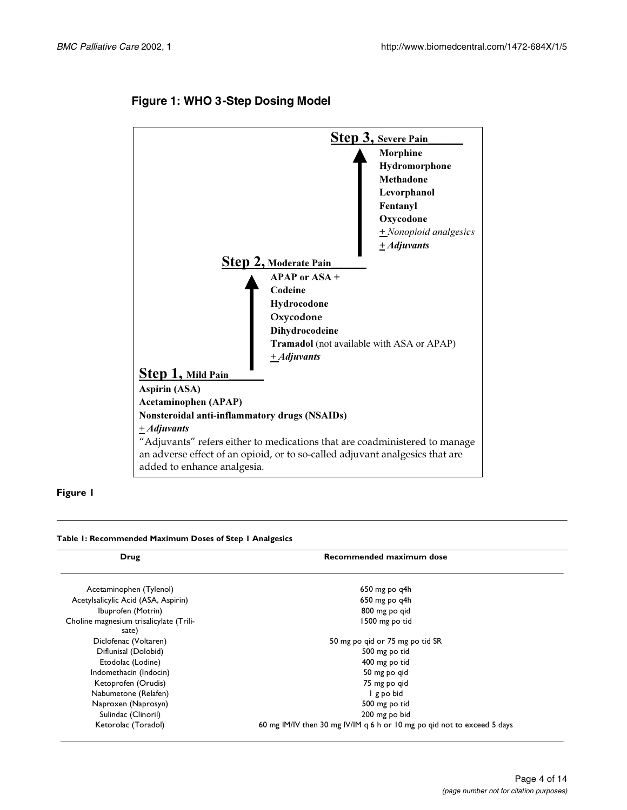



## **Figure 1**

| Table 1: Recommended Maximum Doses of Step 1 Analgesics |  |
|---------------------------------------------------------|--|
|---------------------------------------------------------|--|

| Drug                                             | <b>Recommended maximum dose</b>                                         |
|--------------------------------------------------|-------------------------------------------------------------------------|
| Acetaminophen (Tylenol)                          | $650$ mg po q4h                                                         |
| Acetylsalicylic Acid (ASA, Aspirin)              | $650$ mg po q4h                                                         |
| Ibuprofen (Motrin)                               | 800 mg po qid                                                           |
| Choline magnesium trisalicylate (Trili-<br>sate) | 1500 mg po tid                                                          |
| Diclofenac (Voltaren)                            | 50 mg po gid or 75 mg po tid SR                                         |
| Diflunisal (Dolobid)                             | 500 mg po tid                                                           |
| Etodolac (Lodine)                                | 400 mg po tid                                                           |
| Indomethacin (Indocin)                           | 50 mg po qid                                                            |
| Ketoprofen (Orudis)                              | 75 mg po qid                                                            |
| Nabumetone (Relafen)                             | I g po bid                                                              |
| Naproxen (Naprosyn)                              | 500 mg po tid                                                           |
| Sulindac (Clinoril)                              | 200 mg po bid                                                           |
| Ketorolac (Toradol)                              | 60 mg IM/IV then 30 mg IV/IM q 6 h or 10 mg po qid not to exceed 5 days |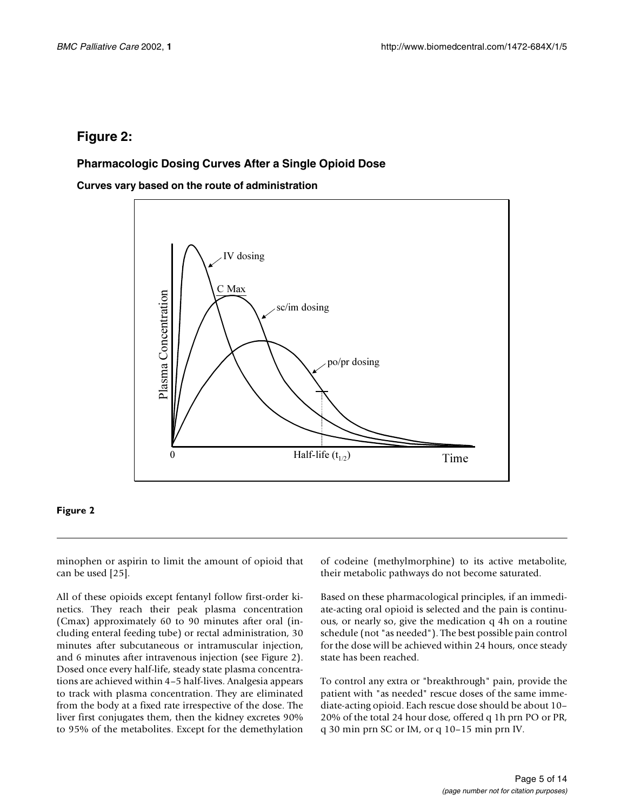## **Figure 2:**

## **Pharmacologic Dosing Curves After a Single Opioid Dose**

**Curves vary based on the route of administration**



#### **Figure 2**

minophen or aspirin to limit the amount of opioid that can be used [25].

All of these opioids except fentanyl follow first-order kinetics. They reach their peak plasma concentration (Cmax) approximately 60 to 90 minutes after oral (including enteral feeding tube) or rectal administration, 30 minutes after subcutaneous or intramuscular injection, and 6 minutes after intravenous injection (see Figure 2). Dosed once every half-life, steady state plasma concentrations are achieved within 4–5 half-lives. Analgesia appears to track with plasma concentration. They are eliminated from the body at a fixed rate irrespective of the dose. The liver first conjugates them, then the kidney excretes 90% to 95% of the metabolites. Except for the demethylation of codeine (methylmorphine) to its active metabolite, their metabolic pathways do not become saturated.

Based on these pharmacological principles, if an immediate-acting oral opioid is selected and the pain is continuous, or nearly so, give the medication q 4h on a routine schedule (not "as needed"). The best possible pain control for the dose will be achieved within 24 hours, once steady state has been reached.

To control any extra or "breakthrough" pain, provide the patient with "as needed" rescue doses of the same immediate-acting opioid. Each rescue dose should be about 10– 20% of the total 24 hour dose, offered q 1h prn PO or PR, q 30 min prn SC or IM, or q 10–15 min prn IV.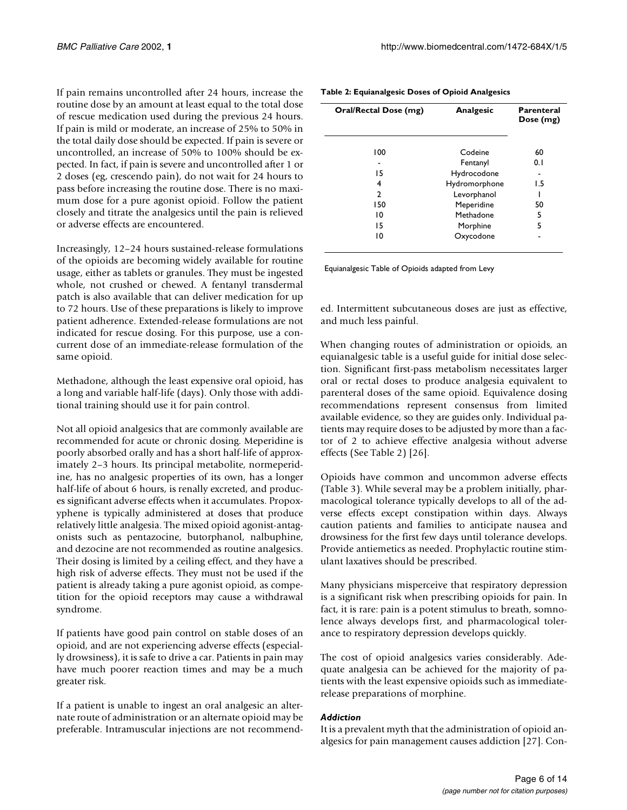If pain remains uncontrolled after 24 hours, increase the routine dose by an amount at least equal to the total dose of rescue medication used during the previous 24 hours. If pain is mild or moderate, an increase of 25% to 50% in the total daily dose should be expected. If pain is severe or uncontrolled, an increase of 50% to 100% should be expected. In fact, if pain is severe and uncontrolled after 1 or 2 doses (eg, crescendo pain), do not wait for 24 hours to pass before increasing the routine dose. There is no maximum dose for a pure agonist opioid. Follow the patient closely and titrate the analgesics until the pain is relieved or adverse effects are encountered.

Increasingly, 12–24 hours sustained-release formulations of the opioids are becoming widely available for routine usage, either as tablets or granules. They must be ingested whole, not crushed or chewed. A fentanyl transdermal patch is also available that can deliver medication for up to 72 hours. Use of these preparations is likely to improve patient adherence. Extended-release formulations are not indicated for rescue dosing. For this purpose, use a concurrent dose of an immediate-release formulation of the same opioid.

Methadone, although the least expensive oral opioid, has a long and variable half-life (days). Only those with additional training should use it for pain control.

<span id="page-5-0"></span>Not all opioid analgesics that are commonly available are recommended for acute or chronic dosing. Meperidine is poorly absorbed orally and has a short half-life of approximately 2–3 hours. Its principal metabolite, normeperidine, has no analgesic properties of its own, has a longer half-life of about 6 hours, is renally excreted, and produces significant adverse effects when it accumulates. Propoxyphene is typically administered at doses that produce relatively little analgesia. The mixed opioid agonist-antagonists such as pentazocine, butorphanol, nalbuphine, and dezocine are not recommended as routine analgesics. Their dosing is limited by a ceiling effect, and they have a high risk of adverse effects. They must not be used if the patient is already taking a pure agonist opioid, as competition for the opioid receptors may cause a withdrawal syndrome.

If patients have good pain control on stable doses of an opioid, and are not experiencing adverse effects (especially drowsiness), it is safe to drive a car. Patients in pain may have much poorer reaction times and may be a much greater risk.

If a patient is unable to ingest an oral analgesic an alternate route of administration or an alternate opioid may be preferable. Intramuscular injections are not recommend-

| Oral/Rectal Dose (mg) | Analgesic     | Parenteral<br>Dose (mg) |
|-----------------------|---------------|-------------------------|
| 100                   | Codeine       | 60                      |
|                       | Fentanyl      | 0.1                     |
| 15                    | Hydrocodone   |                         |
| 4                     | Hydromorphone | 1.5                     |
| 2                     | Levorphanol   |                         |
| 150                   | Meperidine    | 50                      |
| 10                    | Methadone     | 5                       |
| 15                    | Morphine      | 5                       |
| 10                    | Oxycodone     |                         |

**Table 2: Equianalgesic Doses of Opioid Analgesics**

Equianalgesic Table of Opioids adapted from Levy

ed. Intermittent subcutaneous doses are just as effective, and much less painful.

When changing routes of administration or opioids, an equianalgesic table is a useful guide for initial dose selection. Significant first-pass metabolism necessitates larger oral or rectal doses to produce analgesia equivalent to parenteral doses of the same opioid. Equivalence dosing recommendations represent consensus from limited available evidence, so they are guides only. Individual patients may require doses to be adjusted by more than a factor of 2 to achieve effective analgesia without adverse effects (See Table [2](#page-5-0)) [26].

Opioids have common and uncommon adverse effects (Table [3\)](#page-5-1). While several may be a problem initially, pharmacological tolerance typically develops to all of the adverse effects except constipation within days. Always caution patients and families to anticipate nausea and drowsiness for the first few days until tolerance develops. Provide antiemetics as needed. Prophylactic routine stimulant laxatives should be prescribed.

Many physicians misperceive that respiratory depression is a significant risk when prescribing opioids for pain. In fact, it is rare: pain is a potent stimulus to breath, somnolence always develops first, and pharmacological tolerance to respiratory depression develops quickly.

<span id="page-5-1"></span>The cost of opioid analgesics varies considerably. Adequate analgesia can be achieved for the majority of patients with the least expensive opioids such as immediaterelease preparations of morphine.

#### *Addiction*

It is a prevalent myth that the administration of opioid analgesics for pain management causes addiction [27]. Con-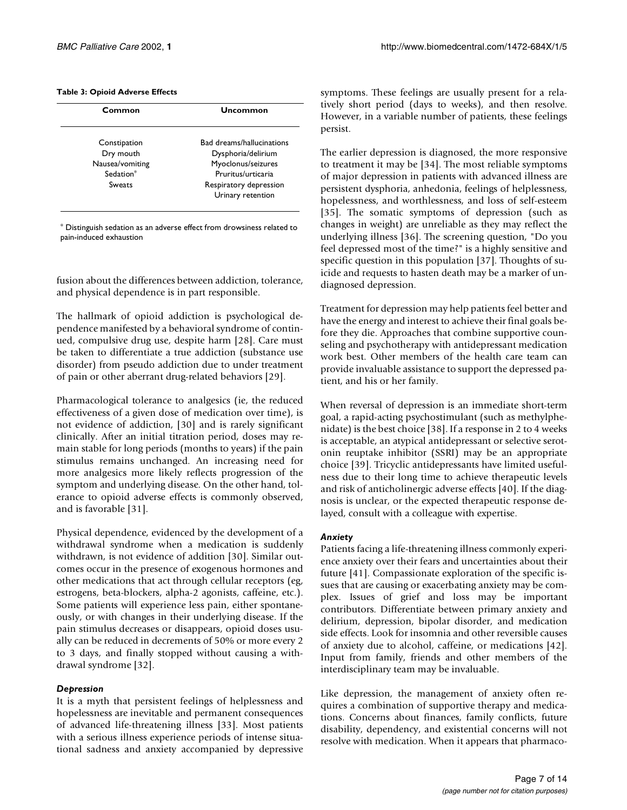#### **Table 3: Opioid Adverse Effects**

| Common          | Uncommon                         |  |
|-----------------|----------------------------------|--|
| Constipation    | <b>Bad dreams/hallucinations</b> |  |
| Dry mouth       | Dysphoria/delirium               |  |
| Nausea/vomiting | Myoclonus/seizures               |  |
| Sedation*       | Pruritus/urticaria               |  |
| Sweats          | Respiratory depression           |  |
|                 | Urinary retention                |  |

\* Distinguish sedation as an adverse effect from drowsiness related to pain-induced exhaustion

fusion about the differences between addiction, tolerance, and physical dependence is in part responsible.

The hallmark of opioid addiction is psychological dependence manifested by a behavioral syndrome of continued, compulsive drug use, despite harm [28]. Care must be taken to differentiate a true addiction (substance use disorder) from pseudo addiction due to under treatment of pain or other aberrant drug-related behaviors [29].

Pharmacological tolerance to analgesics (ie, the reduced effectiveness of a given dose of medication over time), is not evidence of addiction, [30] and is rarely significant clinically. After an initial titration period, doses may remain stable for long periods (months to years) if the pain stimulus remains unchanged. An increasing need for more analgesics more likely reflects progression of the symptom and underlying disease. On the other hand, tolerance to opioid adverse effects is commonly observed, and is favorable [31].

Physical dependence, evidenced by the development of a withdrawal syndrome when a medication is suddenly withdrawn, is not evidence of addition [30]. Similar outcomes occur in the presence of exogenous hormones and other medications that act through cellular receptors (eg, estrogens, beta-blockers, alpha-2 agonists, caffeine, etc.). Some patients will experience less pain, either spontaneously, or with changes in their underlying disease. If the pain stimulus decreases or disappears, opioid doses usually can be reduced in decrements of 50% or more every 2 to 3 days, and finally stopped without causing a withdrawal syndrome [32].

## *Depression*

It is a myth that persistent feelings of helplessness and hopelessness are inevitable and permanent consequences of advanced life-threatening illness [33]. Most patients with a serious illness experience periods of intense situational sadness and anxiety accompanied by depressive symptoms. These feelings are usually present for a relatively short period (days to weeks), and then resolve. However, in a variable number of patients, these feelings persist.

The earlier depression is diagnosed, the more responsive to treatment it may be [34]. The most reliable symptoms of major depression in patients with advanced illness are persistent dysphoria, anhedonia, feelings of helplessness, hopelessness, and worthlessness, and loss of self-esteem [35]. The somatic symptoms of depression (such as changes in weight) are unreliable as they may reflect the underlying illness [36]. The screening question, "Do you feel depressed most of the time?" is a highly sensitive and specific question in this population [37]. Thoughts of suicide and requests to hasten death may be a marker of undiagnosed depression.

Treatment for depression may help patients feel better and have the energy and interest to achieve their final goals before they die. Approaches that combine supportive counseling and psychotherapy with antidepressant medication work best. Other members of the health care team can provide invaluable assistance to support the depressed patient, and his or her family.

When reversal of depression is an immediate short-term goal, a rapid-acting psychostimulant (such as methylphenidate) is the best choice [38]. If a response in 2 to 4 weeks is acceptable, an atypical antidepressant or selective serotonin reuptake inhibitor (SSRI) may be an appropriate choice [39]. Tricyclic antidepressants have limited usefulness due to their long time to achieve therapeutic levels and risk of anticholinergic adverse effects [40]. If the diagnosis is unclear, or the expected therapeutic response delayed, consult with a colleague with expertise.

## *Anxiety*

Patients facing a life-threatening illness commonly experience anxiety over their fears and uncertainties about their future [41]. Compassionate exploration of the specific issues that are causing or exacerbating anxiety may be complex. Issues of grief and loss may be important contributors. Differentiate between primary anxiety and delirium, depression, bipolar disorder, and medication side effects. Look for insomnia and other reversible causes of anxiety due to alcohol, caffeine, or medications [42]. Input from family, friends and other members of the interdisciplinary team may be invaluable.

Like depression, the management of anxiety often requires a combination of supportive therapy and medications. Concerns about finances, family conflicts, future disability, dependency, and existential concerns will not resolve with medication. When it appears that pharmaco-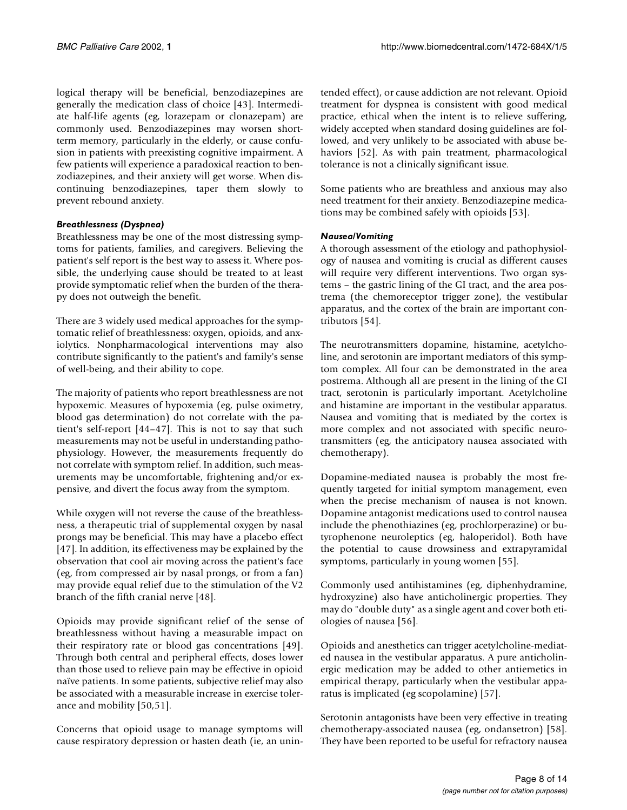logical therapy will be beneficial, benzodiazepines are generally the medication class of choice [43]. Intermediate half-life agents (eg, lorazepam or clonazepam) are commonly used. Benzodiazepines may worsen shortterm memory, particularly in the elderly, or cause confusion in patients with preexisting cognitive impairment. A few patients will experience a paradoxical reaction to benzodiazepines, and their anxiety will get worse. When discontinuing benzodiazepines, taper them slowly to prevent rebound anxiety.

## *Breathlessness (Dyspnea)*

Breathlessness may be one of the most distressing symptoms for patients, families, and caregivers. Believing the patient's self report is the best way to assess it. Where possible, the underlying cause should be treated to at least provide symptomatic relief when the burden of the therapy does not outweigh the benefit.

There are 3 widely used medical approaches for the symptomatic relief of breathlessness: oxygen, opioids, and anxiolytics. Nonpharmacological interventions may also contribute significantly to the patient's and family's sense of well-being, and their ability to cope.

The majority of patients who report breathlessness are not hypoxemic. Measures of hypoxemia (eg, pulse oximetry, blood gas determination) do not correlate with the patient's self-report [44–47]. This is not to say that such measurements may not be useful in understanding pathophysiology. However, the measurements frequently do not correlate with symptom relief. In addition, such measurements may be uncomfortable, frightening and/or expensive, and divert the focus away from the symptom.

While oxygen will not reverse the cause of the breathlessness, a therapeutic trial of supplemental oxygen by nasal prongs may be beneficial. This may have a placebo effect [47]. In addition, its effectiveness may be explained by the observation that cool air moving across the patient's face (eg, from compressed air by nasal prongs, or from a fan) may provide equal relief due to the stimulation of the V2 branch of the fifth cranial nerve [48].

Opioids may provide significant relief of the sense of breathlessness without having a measurable impact on their respiratory rate or blood gas concentrations [49]. Through both central and peripheral effects, doses lower than those used to relieve pain may be effective in opioid naïve patients. In some patients, subjective relief may also be associated with a measurable increase in exercise tolerance and mobility [50,51].

Concerns that opioid usage to manage symptoms will cause respiratory depression or hasten death (ie, an unintended effect), or cause addiction are not relevant. Opioid treatment for dyspnea is consistent with good medical practice, ethical when the intent is to relieve suffering, widely accepted when standard dosing guidelines are followed, and very unlikely to be associated with abuse behaviors [52]. As with pain treatment, pharmacological tolerance is not a clinically significant issue.

Some patients who are breathless and anxious may also need treatment for their anxiety. Benzodiazepine medications may be combined safely with opioids [53].

#### *Nausea/Vomiting*

A thorough assessment of the etiology and pathophysiology of nausea and vomiting is crucial as different causes will require very different interventions. Two organ systems – the gastric lining of the GI tract, and the area postrema (the chemoreceptor trigger zone), the vestibular apparatus, and the cortex of the brain are important contributors [54].

The neurotransmitters dopamine, histamine, acetylcholine, and serotonin are important mediators of this symptom complex. All four can be demonstrated in the area postrema. Although all are present in the lining of the GI tract, serotonin is particularly important. Acetylcholine and histamine are important in the vestibular apparatus. Nausea and vomiting that is mediated by the cortex is more complex and not associated with specific neurotransmitters (eg, the anticipatory nausea associated with chemotherapy).

Dopamine-mediated nausea is probably the most frequently targeted for initial symptom management, even when the precise mechanism of nausea is not known. Dopamine antagonist medications used to control nausea include the phenothiazines (eg, prochlorperazine) or butyrophenone neuroleptics (eg, haloperidol). Both have the potential to cause drowsiness and extrapyramidal symptoms, particularly in young women [55].

Commonly used antihistamines (eg, diphenhydramine, hydroxyzine) also have anticholinergic properties. They may do "double duty" as a single agent and cover both etiologies of nausea [56].

Opioids and anesthetics can trigger acetylcholine-mediated nausea in the vestibular apparatus. A pure anticholinergic medication may be added to other antiemetics in empirical therapy, particularly when the vestibular apparatus is implicated (eg scopolamine) [57].

Serotonin antagonists have been very effective in treating chemotherapy-associated nausea (eg, ondansetron) [58]. They have been reported to be useful for refractory nausea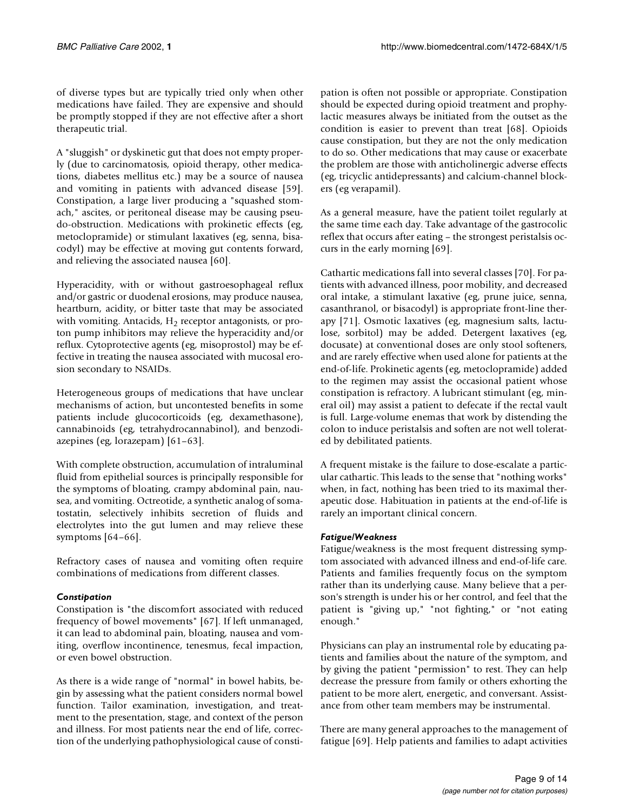of diverse types but are typically tried only when other medications have failed. They are expensive and should be promptly stopped if they are not effective after a short therapeutic trial.

A "sluggish" or dyskinetic gut that does not empty properly (due to carcinomatosis, opioid therapy, other medications, diabetes mellitus etc.) may be a source of nausea and vomiting in patients with advanced disease [59]. Constipation, a large liver producing a "squashed stomach," ascites, or peritoneal disease may be causing pseudo-obstruction. Medications with prokinetic effects (eg, metoclopramide) or stimulant laxatives (eg, senna, bisacodyl) may be effective at moving gut contents forward, and relieving the associated nausea [60].

Hyperacidity, with or without gastroesophageal reflux and/or gastric or duodenal erosions, may produce nausea, heartburn, acidity, or bitter taste that may be associated with vomiting. Antacids,  $H_2$  receptor antagonists, or proton pump inhibitors may relieve the hyperacidity and/or reflux. Cytoprotective agents (eg, misoprostol) may be effective in treating the nausea associated with mucosal erosion secondary to NSAIDs.

Heterogeneous groups of medications that have unclear mechanisms of action, but uncontested benefits in some patients include glucocorticoids (eg, dexamethasone), cannabinoids (eg, tetrahydrocannabinol), and benzodiazepines (eg, lorazepam) [61–63].

With complete obstruction, accumulation of intraluminal fluid from epithelial sources is principally responsible for the symptoms of bloating, crampy abdominal pain, nausea, and vomiting. Octreotide, a synthetic analog of somatostatin, selectively inhibits secretion of fluids and electrolytes into the gut lumen and may relieve these symptoms [64–66].

Refractory cases of nausea and vomiting often require combinations of medications from different classes.

## *Constipation*

Constipation is "the discomfort associated with reduced frequency of bowel movements" [67]. If left unmanaged, it can lead to abdominal pain, bloating, nausea and vomiting, overflow incontinence, tenesmus, fecal impaction, or even bowel obstruction.

As there is a wide range of "normal" in bowel habits, begin by assessing what the patient considers normal bowel function. Tailor examination, investigation, and treatment to the presentation, stage, and context of the person and illness. For most patients near the end of life, correction of the underlying pathophysiological cause of constipation is often not possible or appropriate. Constipation should be expected during opioid treatment and prophylactic measures always be initiated from the outset as the condition is easier to prevent than treat [68]. Opioids cause constipation, but they are not the only medication to do so. Other medications that may cause or exacerbate the problem are those with anticholinergic adverse effects (eg, tricyclic antidepressants) and calcium-channel blockers (eg verapamil).

As a general measure, have the patient toilet regularly at the same time each day. Take advantage of the gastrocolic reflex that occurs after eating – the strongest peristalsis occurs in the early morning [69].

Cathartic medications fall into several classes [70]. For patients with advanced illness, poor mobility, and decreased oral intake, a stimulant laxative (eg, prune juice, senna, casanthranol, or bisacodyl) is appropriate front-line therapy [71]. Osmotic laxatives (eg, magnesium salts, lactulose, sorbitol) may be added. Detergent laxatives (eg, docusate) at conventional doses are only stool softeners, and are rarely effective when used alone for patients at the end-of-life. Prokinetic agents (eg, metoclopramide) added to the regimen may assist the occasional patient whose constipation is refractory. A lubricant stimulant (eg, mineral oil) may assist a patient to defecate if the rectal vault is full. Large-volume enemas that work by distending the colon to induce peristalsis and soften are not well tolerated by debilitated patients.

A frequent mistake is the failure to dose-escalate a particular cathartic. This leads to the sense that "nothing works" when, in fact, nothing has been tried to its maximal therapeutic dose. Habituation in patients at the end-of-life is rarely an important clinical concern.

#### *Fatigue/Weakness*

Fatigue/weakness is the most frequent distressing symptom associated with advanced illness and end-of-life care. Patients and families frequently focus on the symptom rather than its underlying cause. Many believe that a person's strength is under his or her control, and feel that the patient is "giving up," "not fighting," or "not eating enough."

Physicians can play an instrumental role by educating patients and families about the nature of the symptom, and by giving the patient "permission" to rest. They can help decrease the pressure from family or others exhorting the patient to be more alert, energetic, and conversant. Assistance from other team members may be instrumental.

There are many general approaches to the management of fatigue [69]. Help patients and families to adapt activities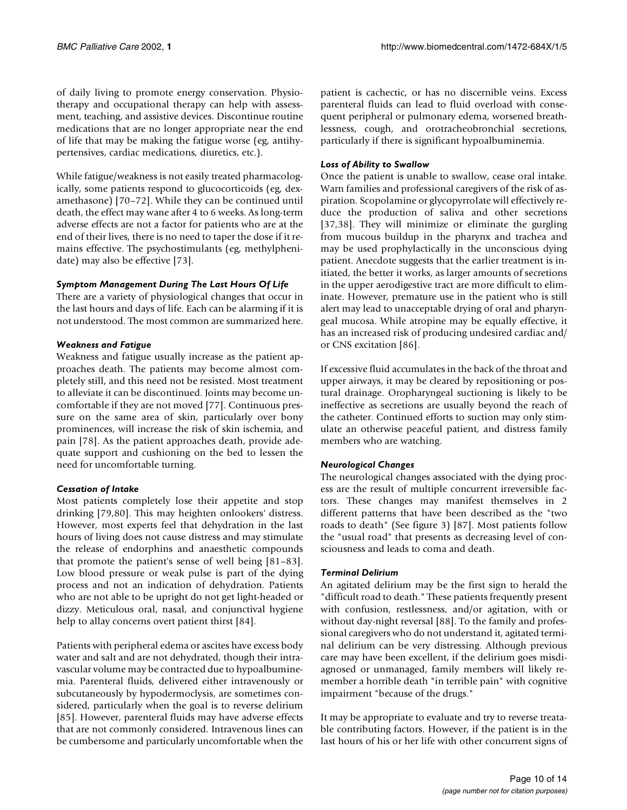of daily living to promote energy conservation. Physiotherapy and occupational therapy can help with assessment, teaching, and assistive devices. Discontinue routine medications that are no longer appropriate near the end of life that may be making the fatigue worse (eg, antihypertensives, cardiac medications, diuretics, etc.).

While fatigue/weakness is not easily treated pharmacologically, some patients respond to glucocorticoids (eg, dexamethasone) [70–72]. While they can be continued until death, the effect may wane after 4 to 6 weeks. As long-term adverse effects are not a factor for patients who are at the end of their lives, there is no need to taper the dose if it remains effective. The psychostimulants (eg, methylphenidate) may also be effective [73].

## *Symptom Management During The Last Hours Of Life*

There are a variety of physiological changes that occur in the last hours and days of life. Each can be alarming if it is not understood. The most common are summarized here.

## *Weakness and Fatigue*

Weakness and fatigue usually increase as the patient approaches death. The patients may become almost completely still, and this need not be resisted. Most treatment to alleviate it can be discontinued. Joints may become uncomfortable if they are not moved [77]. Continuous pressure on the same area of skin, particularly over bony prominences, will increase the risk of skin ischemia, and pain [78]. As the patient approaches death, provide adequate support and cushioning on the bed to lessen the need for uncomfortable turning.

## *Cessation of Intake*

Most patients completely lose their appetite and stop drinking [79,80]. This may heighten onlookers' distress. However, most experts feel that dehydration in the last hours of living does not cause distress and may stimulate the release of endorphins and anaesthetic compounds that promote the patient's sense of well being [81–83]. Low blood pressure or weak pulse is part of the dying process and not an indication of dehydration. Patients who are not able to be upright do not get light-headed or dizzy. Meticulous oral, nasal, and conjunctival hygiene help to allay concerns overt patient thirst [84].

Patients with peripheral edema or ascites have excess body water and salt and are not dehydrated, though their intravascular volume may be contracted due to hypoalbuminemia. Parenteral fluids, delivered either intravenously or subcutaneously by hypodermoclysis, are sometimes considered, particularly when the goal is to reverse delirium [85]. However, parenteral fluids may have adverse effects that are not commonly considered. Intravenous lines can be cumbersome and particularly uncomfortable when the patient is cachectic, or has no discernible veins. Excess parenteral fluids can lead to fluid overload with consequent peripheral or pulmonary edema, worsened breathlessness, cough, and orotracheobronchial secretions, particularly if there is significant hypoalbuminemia.

#### *Loss of Ability to Swallow*

Once the patient is unable to swallow, cease oral intake. Warn families and professional caregivers of the risk of aspiration. Scopolamine or glycopyrrolate will effectively reduce the production of saliva and other secretions [37,38]. They will minimize or eliminate the gurgling from mucous buildup in the pharynx and trachea and may be used prophylactically in the unconscious dying patient. Anecdote suggests that the earlier treatment is initiated, the better it works, as larger amounts of secretions in the upper aerodigestive tract are more difficult to eliminate. However, premature use in the patient who is still alert may lead to unacceptable drying of oral and pharyngeal mucosa. While atropine may be equally effective, it has an increased risk of producing undesired cardiac and/ or CNS excitation [86].

If excessive fluid accumulates in the back of the throat and upper airways, it may be cleared by repositioning or postural drainage. Oropharyngeal suctioning is likely to be ineffective as secretions are usually beyond the reach of the catheter. Continued efforts to suction may only stimulate an otherwise peaceful patient, and distress family members who are watching.

## *Neurological Changes*

The neurological changes associated with the dying process are the result of multiple concurrent irreversible factors. These changes may manifest themselves in 2 different patterns that have been described as the "two roads to death" (See figure 3) [87]. Most patients follow the "usual road" that presents as decreasing level of consciousness and leads to coma and death.

#### *Terminal Delirium*

An agitated delirium may be the first sign to herald the "difficult road to death." These patients frequently present with confusion, restlessness, and/or agitation, with or without day-night reversal [88]. To the family and professional caregivers who do not understand it, agitated terminal delirium can be very distressing. Although previous care may have been excellent, if the delirium goes misdiagnosed or unmanaged, family members will likely remember a horrible death "in terrible pain" with cognitive impairment "because of the drugs."

It may be appropriate to evaluate and try to reverse treatable contributing factors. However, if the patient is in the last hours of his or her life with other concurrent signs of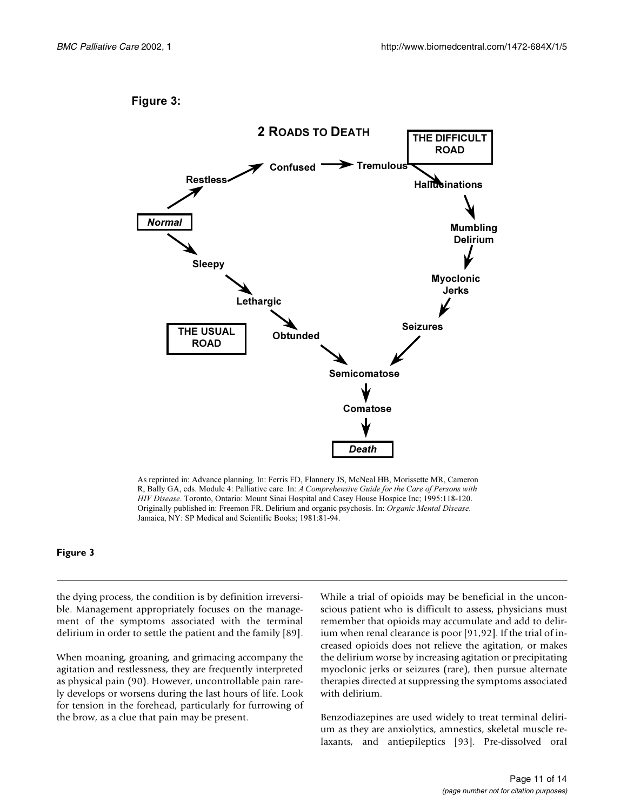**Hallucinations** 

ROAD

Myoclonic Jerks

Mumbling Delirium



Lethargic

ROAD



**Obtunded** 

THE USUAL Champions of the Seizures

Semicomatose

**Comatose** 

**Death** 

#### **Figure 3**

the dying process, the condition is by definition irreversible. Management appropriately focuses on the management of the symptoms associated with the terminal delirium in order to settle the patient and the family [89].

When moaning, groaning, and grimacing accompany the agitation and restlessness, they are frequently interpreted as physical pain (90). However, uncontrollable pain rarely develops or worsens during the last hours of life. Look for tension in the forehead, particularly for furrowing of the brow, as a clue that pain may be present.

While a trial of opioids may be beneficial in the unconscious patient who is difficult to assess, physicians must remember that opioids may accumulate and add to delirium when renal clearance is poor [91,92]. If the trial of increased opioids does not relieve the agitation, or makes the delirium worse by increasing agitation or precipitating myoclonic jerks or seizures (rare), then pursue alternate therapies directed at suppressing the symptoms associated with delirium.

Benzodiazepines are used widely to treat terminal delirium as they are anxiolytics, amnestics, skeletal muscle relaxants, and antiepileptics [93]. Pre-dissolved oral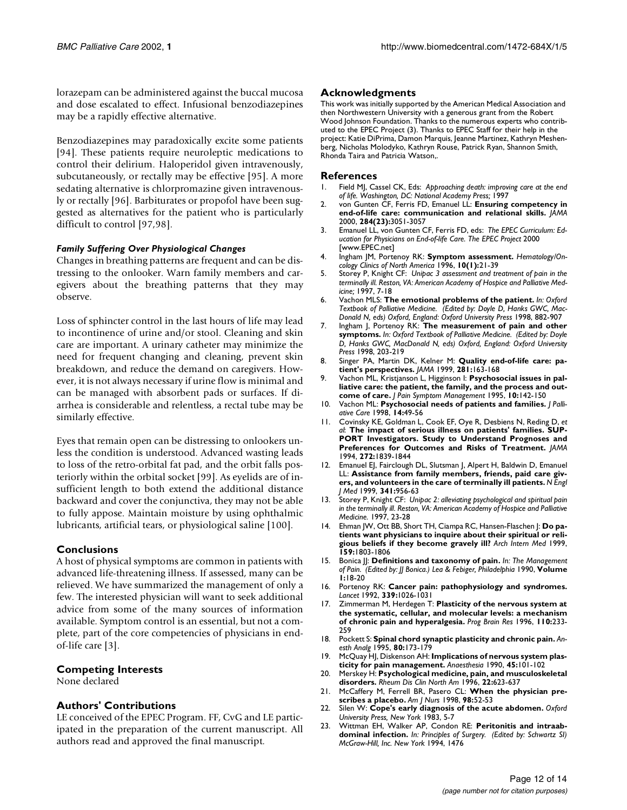lorazepam can be administered against the buccal mucosa and dose escalated to effect. Infusional benzodiazepines may be a rapidly effective alternative.

Benzodiazepines may paradoxically excite some patients [94]. These patients require neuroleptic medications to control their delirium. Haloperidol given intravenously, subcutaneously, or rectally may be effective [95]. A more sedating alternative is chlorpromazine given intravenously or rectally [96]. Barbiturates or propofol have been suggested as alternatives for the patient who is particularly difficult to control [97,98].

#### *Family Suffering Over Physiological Changes*

Changes in breathing patterns are frequent and can be distressing to the onlooker. Warn family members and caregivers about the breathing patterns that they may observe.

Loss of sphincter control in the last hours of life may lead to incontinence of urine and/or stool. Cleaning and skin care are important. A urinary catheter may minimize the need for frequent changing and cleaning, prevent skin breakdown, and reduce the demand on caregivers. However, it is not always necessary if urine flow is minimal and can be managed with absorbent pads or surfaces. If diarrhea is considerable and relentless, a rectal tube may be similarly effective.

Eyes that remain open can be distressing to onlookers unless the condition is understood. Advanced wasting leads to loss of the retro-orbital fat pad, and the orbit falls posteriorly within the orbital socket [99]. As eyelids are of insufficient length to both extend the additional distance backward and cover the conjunctiva, they may not be able to fully appose. Maintain moisture by using ophthalmic lubricants, artificial tears, or physiological saline [100].

## **Conclusions**

A host of physical symptoms are common in patients with advanced life-threatening illness. If assessed, many can be relieved. We have summarized the management of only a few. The interested physician will want to seek additional advice from some of the many sources of information available. Symptom control is an essential, but not a complete, part of the core competencies of physicians in endof-life care [3].

## **Competing Interests**

None declared

#### **Authors' Contributions**

LE conceived of the EPEC Program. FF, CvG and LE participated in the preparation of the current manuscript. All authors read and approved the final manuscript.

#### **Acknowledgments**

This work was initially supported by the American Medical Association and then Northwestern University with a generous grant from the Robert Wood Johnson Foundation. Thanks to the numerous experts who contributed to the EPEC Project (3). Thanks to EPEC Staff for their help in the project: Katie DiPrima, Damon Marquis, Jeanne Martinez, Kathryn Meshenberg, Nicholas Molodyko, Kathryn Rouse, Patrick Ryan, Shannon Smith, Rhonda Taira and Patricia Watson,.

#### **References**

- 1. Field MJ, Cassel CK, Eds: *Approaching death: improving care at the end of life. Washington, DC: National Academy Press;* 1997
- 2. [von Gunten CF, Ferris FD, Emanuel LL:](http://www.ncbi.nlm.nih.gov/entrez/query.fcgi?cmd=Retrieve&db=PubMed&dopt=Abstract&list_uids=11122596) **[Ensuring competency in](http://www.ncbi.nlm.nih.gov/entrez/query.fcgi?cmd=Retrieve&db=PubMed&dopt=Abstract&list_uids=11122596) [end-of-life care: communication and relational skills.](http://www.ncbi.nlm.nih.gov/entrez/query.fcgi?cmd=Retrieve&db=PubMed&dopt=Abstract&list_uids=11122596)** *JAMA* 2000, **284(23):**3051-3057
- 3. Emanuel LL, von Gunten CF, Ferris FD, eds: *The EPEC Curriculum: Education for Physicians on End-of-life Care. The EPEC Project* [2000](www.EPEC.net)  [\[www.EPEC.net\]](www.EPEC.net)
- 4. [Ingham JM, Portenoy RK:](http://www.ncbi.nlm.nih.gov/entrez/query.fcgi?cmd=Retrieve&db=PubMed&dopt=Abstract&list_uids=8821558) **[Symptom assessment.](http://www.ncbi.nlm.nih.gov/entrez/query.fcgi?cmd=Retrieve&db=PubMed&dopt=Abstract&list_uids=8821558)** *Hematology/Oncology Clinics of North America* 1996, **10(1):**21-39
- 5. Storey P, Knight CF: *Unipac 3 assessment and treatment of pain in the terminally ill. Reston, VA: American Academy of Hospice and Palliative Medicine;* 1997, 7-18
- 6. Vachon MLS: **The emotional problems of the patient.** *In: Oxford Textbook of Palliative Medicine. (Edited by: Doyle D, Hanks GWC, Mac-Donald N, eds) Oxford, England: Oxford University Press* 1998, 882-907
- 7. Ingham J, Portenoy RK: **The measurement of pain and other symptoms.** *In: Oxford Textbook of Palliative Medicine. (Edited by: Doyle D, Hanks GWC, MacDonald N, eds) Oxford, England: Oxford University Press* 1998, 203-219
- 8. [Singer PA, Martin DK, Kelner M:](http://www.ncbi.nlm.nih.gov/entrez/query.fcgi?cmd=Retrieve&db=PubMed&dopt=Abstract&list_uids=9917120) **[Quality end-of-life care: pa](http://www.ncbi.nlm.nih.gov/entrez/query.fcgi?cmd=Retrieve&db=PubMed&dopt=Abstract&list_uids=9917120)[tient's perspectives.](http://www.ncbi.nlm.nih.gov/entrez/query.fcgi?cmd=Retrieve&db=PubMed&dopt=Abstract&list_uids=9917120)** *JAMA* 1999, **281:**163-168
- 9. Vachon ML, Kristjanson L, Higginson I: **Psychosocial issues in palliative care: the patient, the family, and the process and outcome of care.** *J Pain Symptom Management* 1995, **10:**142-150
- 10. Vachon ML: **Psychosocial needs of patients and families.** *J Palliative Care* 1998, **14:**49-56
- 11. [Covinsky KE, Goldman L, Cook EF, Oye R, Desbiens N, Reding D,](http://www.ncbi.nlm.nih.gov/entrez/query.fcgi?cmd=Retrieve&db=PubMed&dopt=Abstract&list_uids=7990218) *et al*: **[The impact of serious illness on patients' families. SUP-](http://www.ncbi.nlm.nih.gov/entrez/query.fcgi?cmd=Retrieve&db=PubMed&dopt=Abstract&list_uids=7990218)[PORT Investigators. Study to Understand Prognoses and](http://www.ncbi.nlm.nih.gov/entrez/query.fcgi?cmd=Retrieve&db=PubMed&dopt=Abstract&list_uids=7990218) [Preferences for Outcomes and Risks of Treatment.](http://www.ncbi.nlm.nih.gov/entrez/query.fcgi?cmd=Retrieve&db=PubMed&dopt=Abstract&list_uids=7990218)** *JAMA* 1994, **272:**1839-1844
- 12. [Emanuel EJ, Fairclough DL, Slutsman J, Alpert H, Baldwin D, Emanuel](http://www.ncbi.nlm.nih.gov/entrez/query.fcgi?cmd=Retrieve&db=PubMed&dopt=Abstract&list_uids=10498492) [LL:](http://www.ncbi.nlm.nih.gov/entrez/query.fcgi?cmd=Retrieve&db=PubMed&dopt=Abstract&list_uids=10498492) **[Assistance from family members, friends, paid care giv](http://www.ncbi.nlm.nih.gov/entrez/query.fcgi?cmd=Retrieve&db=PubMed&dopt=Abstract&list_uids=10498492)[ers, and volunteers in the care of terminally ill patients.](http://www.ncbi.nlm.nih.gov/entrez/query.fcgi?cmd=Retrieve&db=PubMed&dopt=Abstract&list_uids=10498492)** *N Engl J Med* 1999, **341:**956-63
- 13. Storey P, Knight CF: *Unipac 2: alleviating psychological and spiritual pain in the terminally ill. Reston, VA: American Academy of Hospice and Palliative Medicine.* 1997, 23-28
- 14. [Ehman JW, Ott BB, Short TH, Ciampa RC, Hansen-Flaschen J:](http://www.ncbi.nlm.nih.gov/entrez/query.fcgi?cmd=Retrieve&db=PubMed&dopt=Abstract&list_uids=10448785) [Do pa](http://www.ncbi.nlm.nih.gov/entrez/query.fcgi?cmd=Retrieve&db=PubMed&dopt=Abstract&list_uids=10448785)**[tients want physicians to inquire about their spiritual or reli](http://www.ncbi.nlm.nih.gov/entrez/query.fcgi?cmd=Retrieve&db=PubMed&dopt=Abstract&list_uids=10448785)[gious beliefs if they become gravely ill?](http://www.ncbi.nlm.nih.gov/entrez/query.fcgi?cmd=Retrieve&db=PubMed&dopt=Abstract&list_uids=10448785)** *Arch Intern Med* 1999, **159:**1803-1806
- 15. Bonica JJ: **Definitions and taxonomy of pain.** *In: The Management of Pain. (Edited by: JJ Bonica.) Lea & Febiger, Philadelphia* 1990, **Volume 1:**18-20
- 16. [Portenoy RK:](http://www.ncbi.nlm.nih.gov/entrez/query.fcgi?cmd=Retrieve&db=PubMed&dopt=Abstract&list_uids=1349060) **[Cancer pain: pathophysiology and syndromes.](http://www.ncbi.nlm.nih.gov/entrez/query.fcgi?cmd=Retrieve&db=PubMed&dopt=Abstract&list_uids=1349060)** *Lancet* 1992, **339:**1026-1031
- 17. [Zimmerman M, Herdegen T:](http://www.ncbi.nlm.nih.gov/entrez/query.fcgi?cmd=Retrieve&db=PubMed&dopt=Abstract&list_uids=9000729) **[Plasticity of the nervous system at](http://www.ncbi.nlm.nih.gov/entrez/query.fcgi?cmd=Retrieve&db=PubMed&dopt=Abstract&list_uids=9000729) [the systematic, cellular, and molecular levels: a mechanism](http://www.ncbi.nlm.nih.gov/entrez/query.fcgi?cmd=Retrieve&db=PubMed&dopt=Abstract&list_uids=9000729) [of chronic pain and hyperalgesia.](http://www.ncbi.nlm.nih.gov/entrez/query.fcgi?cmd=Retrieve&db=PubMed&dopt=Abstract&list_uids=9000729)** *Prog Brain Res* 1996, **110:**233- 259
- 18. [Pockett S:](http://www.ncbi.nlm.nih.gov/entrez/query.fcgi?cmd=Retrieve&db=PubMed&dopt=Abstract&list_uids=7802274) **[Spinal chord synaptic plasticity and chronic pain.](http://www.ncbi.nlm.nih.gov/entrez/query.fcgi?cmd=Retrieve&db=PubMed&dopt=Abstract&list_uids=7802274)** *Anesth Analg* 1995, **80:**173-179
- 19. [McQuay HJ, Diskenson AH:](http://www.ncbi.nlm.nih.gov/entrez/query.fcgi?cmd=Retrieve&db=PubMed&dopt=Abstract&list_uids=2157345) **[Implications of nervous system plas](http://www.ncbi.nlm.nih.gov/entrez/query.fcgi?cmd=Retrieve&db=PubMed&dopt=Abstract&list_uids=2157345)[ticity for pain management.](http://www.ncbi.nlm.nih.gov/entrez/query.fcgi?cmd=Retrieve&db=PubMed&dopt=Abstract&list_uids=2157345)** *Anaesthesia* 1990, **45:**101-102
- 20. [Merskey H:](http://www.ncbi.nlm.nih.gov/entrez/query.fcgi?cmd=Retrieve&db=PubMed&dopt=Abstract&list_uids=8844918) **[Psychological medicine, pain, and musculoskeletal](http://www.ncbi.nlm.nih.gov/entrez/query.fcgi?cmd=Retrieve&db=PubMed&dopt=Abstract&list_uids=8844918) [disorders.](http://www.ncbi.nlm.nih.gov/entrez/query.fcgi?cmd=Retrieve&db=PubMed&dopt=Abstract&list_uids=8844918)** *Rheum Dis Clin North Am* 1996, **22:**623-637
- 21. [McCaffery M, Ferrell BR, Pasero CL:](http://www.ncbi.nlm.nih.gov/entrez/query.fcgi?cmd=Retrieve&db=PubMed&dopt=Abstract&list_uids=9455336) **[When the physician pre](http://www.ncbi.nlm.nih.gov/entrez/query.fcgi?cmd=Retrieve&db=PubMed&dopt=Abstract&list_uids=9455336)[scribes a placebo.](http://www.ncbi.nlm.nih.gov/entrez/query.fcgi?cmd=Retrieve&db=PubMed&dopt=Abstract&list_uids=9455336)** *Am J Nurs* 1998, **98:**52-53
- 22. Silen W: **Cope's early diagnosis of the acute abdomen.** *Oxford University Press, New York* 1983, 5-7
- 23. Wittman EH, Walker AP, Condon RE: **Peritonitis and intraabdominal infection.** *In: Principles of Surgery. (Edited by: Schwartz SI) McGraw-Hill, Inc. New York* 1994, 1476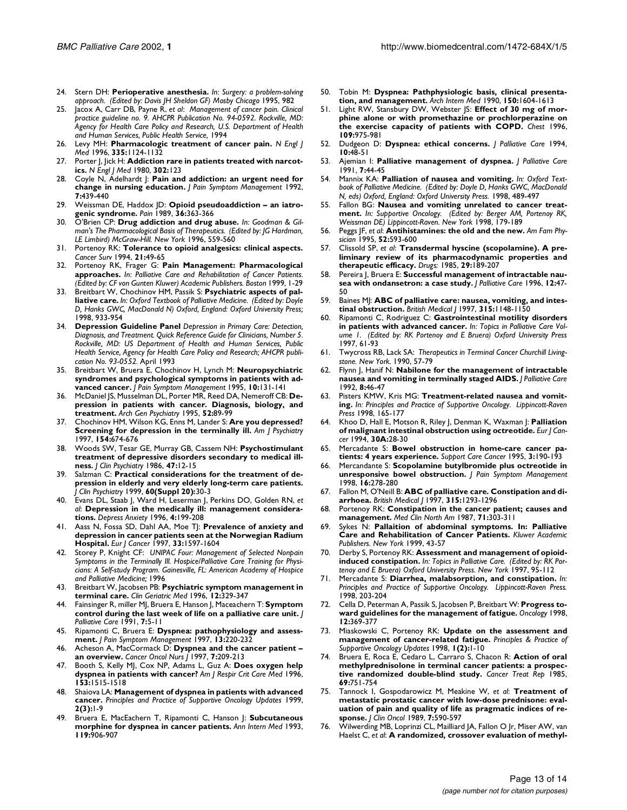- 24. Stern DH: **Perioperative anesthesia.** *In: Surgery: a problem-solving approach. (Edited by: Davis JH Sheldon GF) Mosby Chicago* 1995, 982
- 25. Jacox A, Carr DB, Payne R, *et al*: *Management of cancer pain. Clinical practice guideline no. 9. AHCPR Publication No. 94-0592. Rockville, MD: Agency for Health Care Policy and Research, U.S. Department of Health and Human Services, Public Health Service,* 1994
- 26. [Levy MH:](http://www.ncbi.nlm.nih.gov/entrez/query.fcgi?cmd=Retrieve&db=PubMed&dopt=Abstract&list_uids=8813044) **[Pharmacologic treatment of cancer pain.](http://www.ncbi.nlm.nih.gov/entrez/query.fcgi?cmd=Retrieve&db=PubMed&dopt=Abstract&list_uids=8813044)** *N Engl J Med* 1996, **335:**1124-1132
- 27. [Porter J, Jick H:](http://www.ncbi.nlm.nih.gov/entrez/query.fcgi?cmd=Retrieve&db=PubMed&dopt=Abstract&list_uids=7350425) **[Addiction rare in patients treated with narcot](http://www.ncbi.nlm.nih.gov/entrez/query.fcgi?cmd=Retrieve&db=PubMed&dopt=Abstract&list_uids=7350425)[ics.](http://www.ncbi.nlm.nih.gov/entrez/query.fcgi?cmd=Retrieve&db=PubMed&dopt=Abstract&list_uids=7350425)** *N Engl J Med* 1980, **302:**123
- 28. Coyle N, Adelhardt J: **Pain and addiction: an urgent need for change in nursing education.** *J Pain Symptom Management* 1992, **7:**439-440
- 29. [Weissman DE, Haddox JD:](http://www.ncbi.nlm.nih.gov/entrez/query.fcgi?cmd=Retrieve&db=PubMed&dopt=Abstract&list_uids=2710565) **[Opioid pseudoaddiction an iatro](http://www.ncbi.nlm.nih.gov/entrez/query.fcgi?cmd=Retrieve&db=PubMed&dopt=Abstract&list_uids=2710565)[genic syndrome.](http://www.ncbi.nlm.nih.gov/entrez/query.fcgi?cmd=Retrieve&db=PubMed&dopt=Abstract&list_uids=2710565)** *Pain* 1989, **36:**363-366
- 30. O'Brien CP: **Drug addiction and drug abuse.** *In: Goodman & Gilman's The Pharmacological Basis of Therapeutics. (Edited by: JG Hardman, LE Limbird) McGraw-Hill. New York* 1996, 559-560
- 31. [Portenoy RK:](http://www.ncbi.nlm.nih.gov/entrez/query.fcgi?cmd=Retrieve&db=PubMed&dopt=Abstract&list_uids=8564998) **[Tolerance to opioid analgesics: clinical aspects.](http://www.ncbi.nlm.nih.gov/entrez/query.fcgi?cmd=Retrieve&db=PubMed&dopt=Abstract&list_uids=8564998)** *Cancer Surv* 1994, **21:**49-65
- 32. Portenoy RK, Frager G: **Pain Management: Pharmacological approaches.** *In: Palliative Care and Rehabilitation of Cancer Patients. (Edited by: CF von Gunten Kluwer) Academic Publishers. Boston* 1999, 1-29
- 33. Breitbart W, Chochinov HM, Passik S: **Psychiatric aspects of palliative care.** *In: Oxford Textbook of Palliative Medicine. (Edited by: Doyle D, Hanks GWC, MacDonald N) Oxford, England: Oxford University Press;* 1998, 933-954
- 34. **Depression Guideline Panel** *Depression in Primary Care: Detection, Diagnosis, and Treatment. Quick Reference Guide for Clinicians, Number 5. Rockville, MD: US Department of Health and Human Services, Public Health Service, Agency for Health Care Policy and Research; AHCPR publication No. 93-0552.* April 1993
- 35. Breitbart W, Bruera E, Chochinov H, Lynch M: **Neuropsychiatric syndromes and psychological symptoms in patients with advanced cancer.** *J Pain Symptom Management* 1995, **10:**131-141
- 36. [McDaniel JS, Musselman DL, Porter MR, Reed DA, Nemeroff CB:](http://www.ncbi.nlm.nih.gov/entrez/query.fcgi?cmd=Retrieve&db=PubMed&dopt=Abstract&list_uids=7848055) **[De](http://www.ncbi.nlm.nih.gov/entrez/query.fcgi?cmd=Retrieve&db=PubMed&dopt=Abstract&list_uids=7848055)[pression in patients with cancer. Diagnosis, biology, and](http://www.ncbi.nlm.nih.gov/entrez/query.fcgi?cmd=Retrieve&db=PubMed&dopt=Abstract&list_uids=7848055) [treatment.](http://www.ncbi.nlm.nih.gov/entrez/query.fcgi?cmd=Retrieve&db=PubMed&dopt=Abstract&list_uids=7848055)** *Arch Gen Psychiatry* 1995, **52:**89-99
- 37. [Chochinov HM, Wilson KG, Enns M, Lander S:](http://www.ncbi.nlm.nih.gov/entrez/query.fcgi?cmd=Retrieve&db=PubMed&dopt=Abstract&list_uids=9137124) **[Are you depressed?](http://www.ncbi.nlm.nih.gov/entrez/query.fcgi?cmd=Retrieve&db=PubMed&dopt=Abstract&list_uids=9137124) [Screening for depression in the terminally ill.](http://www.ncbi.nlm.nih.gov/entrez/query.fcgi?cmd=Retrieve&db=PubMed&dopt=Abstract&list_uids=9137124)** *Am J Psychiatry* 1997, **154:**674-676
- 38. [Woods SW, Tesar GE, Murray GB, Cassem NH:](http://www.ncbi.nlm.nih.gov/entrez/query.fcgi?cmd=Retrieve&db=PubMed&dopt=Abstract&list_uids=3941052) **[Psychostimulant](http://www.ncbi.nlm.nih.gov/entrez/query.fcgi?cmd=Retrieve&db=PubMed&dopt=Abstract&list_uids=3941052) [treatment of depressive disorders secondary to medical ill](http://www.ncbi.nlm.nih.gov/entrez/query.fcgi?cmd=Retrieve&db=PubMed&dopt=Abstract&list_uids=3941052)[ness.](http://www.ncbi.nlm.nih.gov/entrez/query.fcgi?cmd=Retrieve&db=PubMed&dopt=Abstract&list_uids=3941052)** *J Clin Psychiatry* 1986, **47:**12-15
- 39. [Salzman C:](http://www.ncbi.nlm.nih.gov/entrez/query.fcgi?cmd=Retrieve&db=PubMed&dopt=Abstract&list_uids=10513856) **[Practical considerations for the treatment of de](http://www.ncbi.nlm.nih.gov/entrez/query.fcgi?cmd=Retrieve&db=PubMed&dopt=Abstract&list_uids=10513856)[pression in elderly and very elderly long-term care patients.](http://www.ncbi.nlm.nih.gov/entrez/query.fcgi?cmd=Retrieve&db=PubMed&dopt=Abstract&list_uids=10513856)** *J Clin Psychiatry* 1999, **60(Suppl 20):**30-3
- 40. [Evans DL, Staab J, Ward H, Leserman J, Perkins DO, Golden RN,](http://www.ncbi.nlm.nih.gov/entrez/query.fcgi?cmd=Retrieve&db=PubMed&dopt=Abstract&list_uids=9166652) *et al*: **[Depression in the medically ill: management considera](http://www.ncbi.nlm.nih.gov/entrez/query.fcgi?cmd=Retrieve&db=PubMed&dopt=Abstract&list_uids=10.1002/(SICI)1520-6394(1996)4:4<199::AID-DA6>3.3.CO;2-N)[tions.](http://www.ncbi.nlm.nih.gov/entrez/query.fcgi?cmd=Retrieve&db=PubMed&dopt=Abstract&list_uids=10.1002/(SICI)1520-6394(1996)4:4<199::AID-DA6>3.3.CO;2-N)** *Depress Anxiety* 1996, **4:**199-208
- 41. Aass N, Fossa SD, Dahl AA, Moe T|: [Prevalence of anxiety and](http://www.ncbi.nlm.nih.gov/entrez/query.fcgi?cmd=Retrieve&db=PubMed&dopt=Abstract&list_uids=9389921) **[depression in cancer patients seen at the Norwegian Radium](http://www.ncbi.nlm.nih.gov/entrez/query.fcgi?cmd=Retrieve&db=PubMed&dopt=Abstract&list_uids=9389921) [Hospital.](http://www.ncbi.nlm.nih.gov/entrez/query.fcgi?cmd=Retrieve&db=PubMed&dopt=Abstract&list_uids=9389921)** *Eur J Cancer* 1997, **33:**1597-1604
- 42. Storey P, Knight CF: *UNIPAC Four: Management of Selected Nonpain Symptoms in the Terminally Ill. Hospice/Palliative Care Training for Physicians: A Self-study Program. Gainesville, FL: American Academy of Hospice and Palliative Medicine;* 1996
- 43. Breitbart W, Jacobsen PB: **Psychiatric symptom management in terminal care.** *Clin Geriatric Med* 1996, **12:**329-347
- 44. Fainsinger R, miller MJ, Bruera E, Hanson J, Maceachern T: **Symptom control during the last week of life on a palliative care unit.** *J Palliative Care* 1991, **7:**5-11
- 45. Ripamonti C, Bruera E: **Dyspnea: pathophysiology and assessment.** *J Pain Symptom Management* 1997, **13:**220-232
- 46. Acheson A, MacCormack D: **Dyspnea and the cancer patient – an overview.** *Cancer Oncol Nurs J* 1997, **7:**209-213
- 47. [Booth S, Kelly MJ, Cox NP, Adams L, Guz A:](http://www.ncbi.nlm.nih.gov/entrez/query.fcgi?cmd=Retrieve&db=PubMed&dopt=Abstract&list_uids=8630595) **[Does oxygen help](http://www.ncbi.nlm.nih.gov/entrez/query.fcgi?cmd=Retrieve&db=PubMed&dopt=Abstract&list_uids=8630595) [dyspnea in patients with cancer?](http://www.ncbi.nlm.nih.gov/entrez/query.fcgi?cmd=Retrieve&db=PubMed&dopt=Abstract&list_uids=8630595)** *Am J Respir Crit Care Med* 1996, **153:**1515-1518
- 48. Shaiova LA: **Management of dyspnea in patients with advanced cancer.** *Principles and Practice of Supportive Oncology Updates* 1999, **2(3):**1-9
- 49. [Bruera E, MacEachern T, Ripamonti C, Hanson J:](http://www.ncbi.nlm.nih.gov/entrez/query.fcgi?cmd=Retrieve&db=PubMed&dopt=Abstract&list_uids=8215003) **[Subcutaneous](http://www.ncbi.nlm.nih.gov/entrez/query.fcgi?cmd=Retrieve&db=PubMed&dopt=Abstract&list_uids=8215003) [morphine for dyspnea in cancer patients.](http://www.ncbi.nlm.nih.gov/entrez/query.fcgi?cmd=Retrieve&db=PubMed&dopt=Abstract&list_uids=8215003)** *Ann Intern Med* 1993, **119:**906-907
- 50. [Tobin M:](http://www.ncbi.nlm.nih.gov/entrez/query.fcgi?cmd=Retrieve&db=PubMed&dopt=Abstract&list_uids=2200379) **[Dyspnea: Pathphysiologic basis, clinical presenta](http://www.ncbi.nlm.nih.gov/entrez/query.fcgi?cmd=Retrieve&db=PubMed&dopt=Abstract&list_uids=2200379)[tion, and management.](http://www.ncbi.nlm.nih.gov/entrez/query.fcgi?cmd=Retrieve&db=PubMed&dopt=Abstract&list_uids=2200379)** *Arch Intern Med* 1990, **150:**1604-1613
- 51. [Light RW, Stansbury DW, Webster JS:](http://www.ncbi.nlm.nih.gov/entrez/query.fcgi?cmd=Retrieve&db=PubMed&dopt=Abstract&list_uids=8635380) **[Effect of 30 mg of mor](http://www.ncbi.nlm.nih.gov/entrez/query.fcgi?cmd=Retrieve&db=PubMed&dopt=Abstract&list_uids=8635380)[phine alone or with promethazine or prochlorperazine on](http://www.ncbi.nlm.nih.gov/entrez/query.fcgi?cmd=Retrieve&db=PubMed&dopt=Abstract&list_uids=8635380) [the exercise capacity of patients with COPD.](http://www.ncbi.nlm.nih.gov/entrez/query.fcgi?cmd=Retrieve&db=PubMed&dopt=Abstract&list_uids=8635380)** *Chest* 1996, **109:**975-981
- 52. Dudgeon D: **Dyspnea: ethical concerns.** *J Palliative Care* 1994, **10:**48-51
- 53. Ajemian I: **Palliative management of dyspnea.** *J Palliative Care* 1991, **7:**44-45
- 54. Mannix KA: **Palliation of nausea and vomiting.** *In: Oxford Textbook of Palliative Medicine. (Edited by: Doyle D, Hanks GWC, MacDonald N, eds) Oxford, England: Oxford University Press.* 1998, 489-497
- Fallon BG: Nausea and vomiting unrelated to cancer treat**ment.** *In: Supportive Oncology. (Edited by: Berger AM, Portenoy RK, Weissman DE) Lippincott-Raven. New York* 1998, 179-189
- 56. [Peggs JF,](http://www.ncbi.nlm.nih.gov/entrez/query.fcgi?cmd=Retrieve&db=PubMed&dopt=Abstract&list_uids=7625332) *et al*: **[Antihistamines: the old and the new.](http://www.ncbi.nlm.nih.gov/entrez/query.fcgi?cmd=Retrieve&db=PubMed&dopt=Abstract&list_uids=7625332)** *Am Fam Physician* 1995, **52:**593-600
- 57. [Clissold SP,](http://www.ncbi.nlm.nih.gov/entrez/query.fcgi?cmd=Retrieve&db=PubMed&dopt=Abstract&list_uids=3886352) *et al*: **[Transdermal hyscine \(scopolamine\). A pre](http://www.ncbi.nlm.nih.gov/entrez/query.fcgi?cmd=Retrieve&db=PubMed&dopt=Abstract&list_uids=3886352)[liminary review of its pharmacodynamic properties and](http://www.ncbi.nlm.nih.gov/entrez/query.fcgi?cmd=Retrieve&db=PubMed&dopt=Abstract&list_uids=3886352) [therapeutic efficacy.](http://www.ncbi.nlm.nih.gov/entrez/query.fcgi?cmd=Retrieve&db=PubMed&dopt=Abstract&list_uids=3886352)** *Drugs:* 1985, **29:**189-207
- 58. Pereira J, Bruera E: **Successful management of intractable nausea with ondansetron: a case study.** *J Palliative Care* 1996, **12:**47- 50
- 59. Baines MJ: **ABC of palliative care: nausea, vomiting, and intestinal obstruction.** *British Medical J* 1997, **315:**1148-1150
- 60. Ripamonti C, Rodriguez C: **Gastrointestinal motility disorders in patients with advanced cancer.** *In: Topics in Palliative Care Volume 1. (Edited by: RK Portenoy and E Bruera) Oxford University Press* 1997, 61-93
- 61. Twycross RB, Lack SA: *Therapeutics in Terminal Cancer Churchill Livingstone. New York.* 1990, 57-79
- 62. Flynn J, Hanif N: **Nabilone for the management of intractable nausea and vomiting in terminally staged AIDS.** *J Palliative Care* 1992, **8:**46-47
- Pisters KMW, Kris MG: Treatment-related nausea and vomit**ing.** *In: Principles and Practice of Supportive Oncology. Lippincott-Raven Press* 1998, 165-177
- 64. [Khoo D, Hall E, Motson R, Riley J, Denman K, Waxman J:](http://www.ncbi.nlm.nih.gov/entrez/query.fcgi?cmd=Retrieve&db=PubMed&dopt=Abstract&list_uids=7511400) **[Palliation](http://www.ncbi.nlm.nih.gov/entrez/query.fcgi?cmd=Retrieve&db=PubMed&dopt=Abstract&list_uids=7511400) [of malignant intestinal obstruction using octreotide.](http://www.ncbi.nlm.nih.gov/entrez/query.fcgi?cmd=Retrieve&db=PubMed&dopt=Abstract&list_uids=7511400)** *Eur J Cancer* 1994, **30A:**28-30
- 65. [Mercadante S:](http://www.ncbi.nlm.nih.gov/entrez/query.fcgi?cmd=Retrieve&db=PubMed&dopt=Abstract&list_uids=7544674) **[Bowel obstruction in home-care cancer pa](http://www.ncbi.nlm.nih.gov/entrez/query.fcgi?cmd=Retrieve&db=PubMed&dopt=Abstract&list_uids=7544674)[tients: 4 years experience.](http://www.ncbi.nlm.nih.gov/entrez/query.fcgi?cmd=Retrieve&db=PubMed&dopt=Abstract&list_uids=7544674)** *Support Care Cancer* 1995, **3:**190-193
- 66. Mercandante S: **Scopolamine butylbromide plus octreotide in unresponsive bowel obstruction.** *J Pain Symptom Management* 1998, **16:**278-280
- 67. Fallon M, O'Neill B: **ABC of palliative care. Constipation and diarrhoea.** *British Medical J* 1997, **315:**1293-1296
- 68. [Portenoy RK:](http://www.ncbi.nlm.nih.gov/entrez/query.fcgi?cmd=Retrieve&db=PubMed&dopt=Abstract&list_uids=3029525) **[Constipation in the cancer patient; causes and](http://www.ncbi.nlm.nih.gov/entrez/query.fcgi?cmd=Retrieve&db=PubMed&dopt=Abstract&list_uids=3029525) [management.](http://www.ncbi.nlm.nih.gov/entrez/query.fcgi?cmd=Retrieve&db=PubMed&dopt=Abstract&list_uids=3029525)** *Med Clin North Am* 1987, **71:**303-311
- 69. Sykes N: **Pallaition of abdominal symptoms. In: Palliative Care and Rehabilitation of Cancer Patients.** *Kluwer Academic Publishers. New York* 1999, 43-57
- 70. Derby S, Portenoy RK: **Assessment and management of opioidinduced constipation.** *In: Topics in Palliative Care. (Edited by: RK Portenoy and E Bruera) Oxford University Press. New York* 1997, 95-112
- 71. Mercadante S: **Diarrhea, malabsorption, and constipation.** *In: Principles and Practice of Supportive Oncology. Lippincott-Raven Press.* 1998, 203-204
- 72. [Cella D, Peterman A, Passik S, Jacobsen P, Breitbart W:](http://www.ncbi.nlm.nih.gov/entrez/query.fcgi?cmd=Retrieve&db=PubMed&dopt=Abstract&list_uids=10028520) **[Progress to](http://www.ncbi.nlm.nih.gov/entrez/query.fcgi?cmd=Retrieve&db=PubMed&dopt=Abstract&list_uids=10028520)[ward guidelines for the management of fatigue.](http://www.ncbi.nlm.nih.gov/entrez/query.fcgi?cmd=Retrieve&db=PubMed&dopt=Abstract&list_uids=10028520)** *Oncology* 1998, **12:**369-377
- 73. Miaskowski C, Portenoy RK: **Update on the assessment and management of cancer-related fatigue.** *Principles & Practice of Supportive Oncology Updates* 1998, **1(2):**1-10
- 74. [Bruera E, Roca E, Cedaro L, Carraro S, Chacon R:](http://www.ncbi.nlm.nih.gov/entrez/query.fcgi?cmd=Retrieve&db=PubMed&dopt=Abstract&list_uids=2410117) **[Action of oral](http://www.ncbi.nlm.nih.gov/entrez/query.fcgi?cmd=Retrieve&db=PubMed&dopt=Abstract&list_uids=2410117) [methylprednisolone in terminal cancer patients: a prospec](http://www.ncbi.nlm.nih.gov/entrez/query.fcgi?cmd=Retrieve&db=PubMed&dopt=Abstract&list_uids=2410117)[tive randomized double-blind study.](http://www.ncbi.nlm.nih.gov/entrez/query.fcgi?cmd=Retrieve&db=PubMed&dopt=Abstract&list_uids=2410117)** *Cancer Treat Rep* 1985, **69:**751-754
- 75. [Tannock I, Gospodarowicz M, Meakine W,](http://www.ncbi.nlm.nih.gov/entrez/query.fcgi?cmd=Retrieve&db=PubMed&dopt=Abstract&list_uids=2709088) *et al*: **[Treatment of](http://www.ncbi.nlm.nih.gov/entrez/query.fcgi?cmd=Retrieve&db=PubMed&dopt=Abstract&list_uids=2709088) [metastatic prostatic cancer with low-dose prednisone: eval](http://www.ncbi.nlm.nih.gov/entrez/query.fcgi?cmd=Retrieve&db=PubMed&dopt=Abstract&list_uids=2709088)uation of pain and quality of life as pragmatic indices of re[sponse.](http://www.ncbi.nlm.nih.gov/entrez/query.fcgi?cmd=Retrieve&db=PubMed&dopt=Abstract&list_uids=2709088)** *J Clin Oncol* 1989, **7:**590-597
- 76. [Wilwerding MB, Loprinzi CL, Mailliard JA, Fallon O Jr, Miser AW, van](http://www.ncbi.nlm.nih.gov/entrez/query.fcgi?cmd=Retrieve&db=PubMed&dopt=Abstract&list_uids=7539701) [Haelst C,](http://www.ncbi.nlm.nih.gov/entrez/query.fcgi?cmd=Retrieve&db=PubMed&dopt=Abstract&list_uids=7539701) *et al*: **[A randomized, crossover evaluation of methyl](http://www.ncbi.nlm.nih.gov/entrez/query.fcgi?cmd=Retrieve&db=PubMed&dopt=Abstract&list_uids=7539701)-**